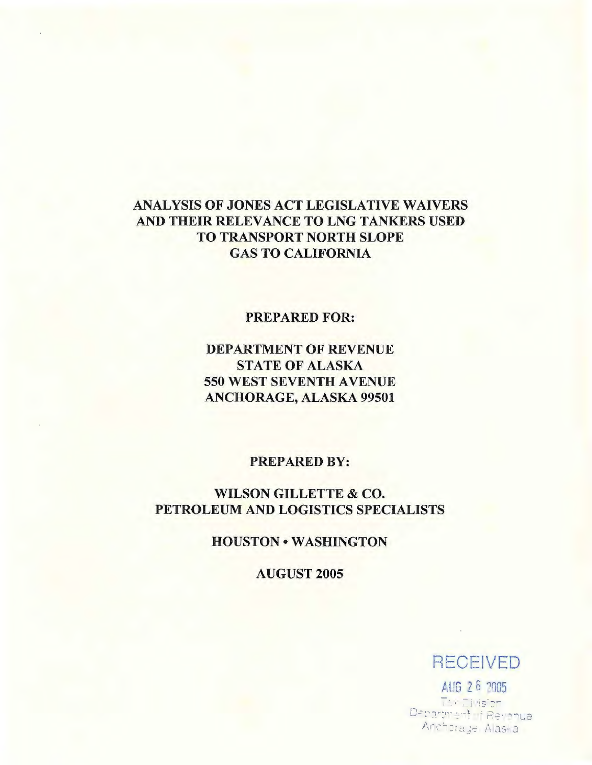## ANALYSIS OF JONES ACT LEGISLATIVE WAIVERS AND THEIR RELEVANCE TO LNG TANKERS USED TO TRANSPORT NORTH SLOPE GAS TO CALIFORNIA

## PREPARED FOR:

# DEPARTMENT OF REVENUE STATE OF ALASKA 550 WEST SEVENTH A VENUE ANCHORAGE, ALASKA 99501

## PREPARED BY:

## WILSON GILLETTE & CO. PETROLEUM AND LOGISTICS SPECIALISTS

## HOUSTON • WASHINGTON

AUGUST 2005

# RECEIVED

~ll'G *Z* 6 '1~05 T: - El Hsion Department of Revenue Anchorage Alaska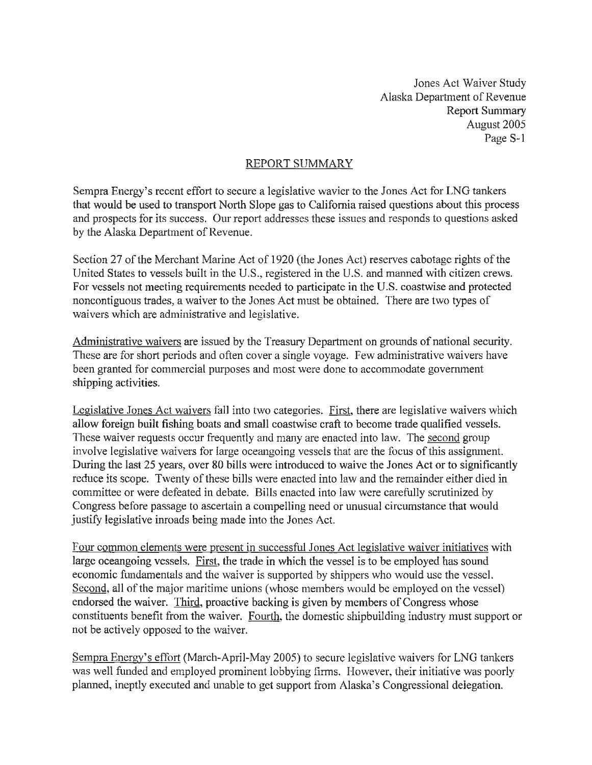Jones Act Waiver Study Alaska Department of Revenue Report Summary August 2005 Page S-1

## REPORT SUMMARY

Sempra Energy's recent effort to secure a legislative wavier to the Jones Act for LNG tankers that would be used to transport North Slope gas to California raised questions about this process and prospects for its success. Our report addresses these issues and responds to questions asked by the Alaska Department of Revenue.

Section 27 of the Merchant Marine Act of 1920 (the Jones Act) reserves cabotage rights of the United States to vessels built in the U.S., registered in the U.S. and manned with citizen crews. For vessels not meeting requirements needed to participate in the U.S. coastwise and protected noncontiguous trades, a waiver to the Jones Act must be obtained. There are two types of waivers which are administrative and legislative.

Administrative waivers are issued by the Treasury Department on grounds of national security. These are for short periods and often cover a single voyage. Few administrative waivers have been granted for commercial purposes and most were done to accommodate government shipping activities.

Legislative Jones Act waivers fall into two categories. First, there are legislative waivers which allow foreign built fishing boats and small coastwise craft to become trade qualified vessels. These waiver requests occur frequently and many are enacted into law. The second group involve legislative waivers for large oceangoing vessels that are the focus of this assignment. During the last 25 years, over 80 bills were introduced to waive the Jones Act or to significantly reduce its scope. Twenty of these bills were enacted into law and the remainder either died in committee or were defeated in debate. Bills enacted into law were carefully scrutinized by Congress before passage to ascertain a compelling need or unusual circumstance that would justify legislative inroads being made into the Jones Act.

Four common elements were present in successful Jones Act legislative waiver initiatives with large oceangoing vessels. First, the trade in which the vessel is to be employed has sound economic fundamentals and the waiver is supported by shippers who would use the vessel. Second, all of the major maritime unions (whose members would be employed on the vessel) endorsed the waiver. Third, proactive backing is given by members of Congress whose constituents benefit from the waiver. Fourth, the domestic shipbuilding industry must support or not be actively opposed to the waiver.

Sempra Energy's effort (March-April-May 2005) to secure legislative waivers for LNG tankers was well funded and employed prominent lobbying fitms. However, their initiative was poorly planned, ineptly executed and unable to get support from Alaska's Congressional delegation.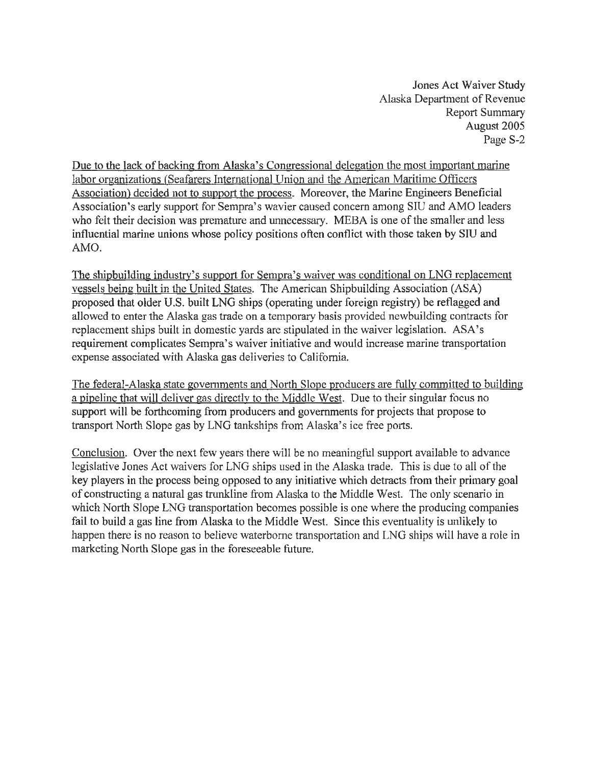Jones Act Waiver Study Alaska Department of Revenue Report Summary August 2005 Page S-2

Due to the lack of backing from Alaska's Congressional delegation the most important marine labor organizations (Seafarers International Union and the American Maritime Officers Association) decided not to support the process. Moreover, the Marine Engineers Beneficial Association's early support for Sempra's wavier caused concern among SIU and AMO leaders who felt their decision was premature and unnecessary. MEBA is one of the smaller and less influential marine unions whose policy positions often conflict with those taken by SIU and AMO.

The shipbuilding industry's support for Sempra's waiver was conditional on LNG replacement vessels being built in the United States. The American Shipbuilding Association (ASA) proposed that older U.S. built LNG ships (operating under foreign registry) be reflagged and allowed to enter the Alaska gas trade on a temporary basis provided newbuilding contracts for replacement ships built in domestic yards are stipulated in the waiver legislation. ASA's requirement complicates Sempra's waiver initiative and would increase marine transportation expense associated with Alaska gas deliveries to California.

The federal-Alaska state governments and North Slope producers are fully committed to building a pipeline that will deliver gas directly to the Middle West. Due to their singular focus no support will be forthcoming from producers and governments for projects that propose to transport North Slope gas by LNG tankships from Alaska's ice free ports.

Conclusion. Over the next few years there will be no meaningful support available to advance legislative Jones Act waivers for LNG ships used in the Alaska trade. This is due to all of the key players in the process being opposed to any initiative which detracts from their primary goal of constructing a natural gas trunkline from Alaska to the Middle West. The only scenario in which North Slope LNG transportation becomes possible is one where the producing companies fail to build a gas line from Alaska to the Middle West. Since this eventuality is unlikely to happen there is no reason to believe waterborne transportation and LNG ships will have a role in marketing North Slope gas in the foreseeable future.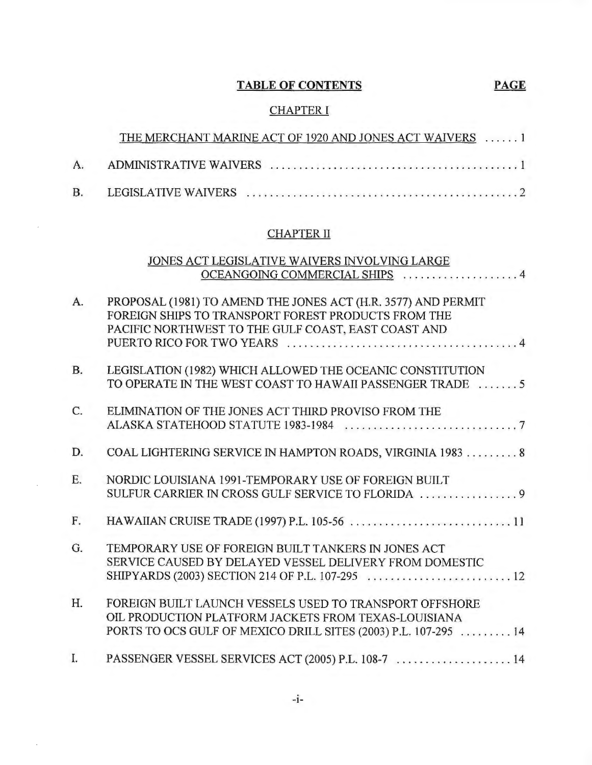# **TABLE OF CONTENTS PAGE**

# CHAPTER I

|    | THE MERCHANT MARINE ACT OF 1920 AND JONES ACT WAIVERS  1 |  |  |  |  |  |  |  |  |  |  |  |
|----|----------------------------------------------------------|--|--|--|--|--|--|--|--|--|--|--|
| A. |                                                          |  |  |  |  |  |  |  |  |  |  |  |
|    |                                                          |  |  |  |  |  |  |  |  |  |  |  |

# CHAPTER II

|                | JONES ACT LEGISLATIVE WAIVERS INVOLVING LARGE                                                                                                                                      |
|----------------|------------------------------------------------------------------------------------------------------------------------------------------------------------------------------------|
|                | OCEANGOING COMMERCIAL SHIPS  4                                                                                                                                                     |
| A.             | PROPOSAL (1981) TO AMEND THE JONES ACT (H.R. 3577) AND PERMIT<br>FOREIGN SHIPS TO TRANSPORT FOREST PRODUCTS FROM THE<br>PACIFIC NORTHWEST TO THE GULF COAST, EAST COAST AND        |
| <b>B.</b>      | LEGISLATION (1982) WHICH ALLOWED THE OCEANIC CONSTITUTION<br>TO OPERATE IN THE WEST COAST TO HAWAII PASSENGER TRADE 5                                                              |
| $\mathsf{C}$ . | ELIMINATION OF THE JONES ACT THIRD PROVISO FROM THE                                                                                                                                |
| D.             | COAL LIGHTERING SERVICE IN HAMPTON ROADS, VIRGINIA 1983  8                                                                                                                         |
| E.             | NORDIC LOUISIANA 1991-TEMPORARY USE OF FOREIGN BUILT                                                                                                                               |
| F.             |                                                                                                                                                                                    |
| G <sub>r</sub> | TEMPORARY USE OF FOREIGN BUILT TANKERS IN JONES ACT<br>SERVICE CAUSED BY DELAYED VESSEL DELIVERY FROM DOMESTIC                                                                     |
| H.             | FOREIGN BUILT LAUNCH VESSELS USED TO TRANSPORT OFFSHORE<br>OIL PRODUCTION PLATFORM JACKETS FROM TEXAS-LOUISIANA<br>PORTS TO OCS GULF OF MEXICO DRILL SITES (2003) P.L. 107-295  14 |
| $\mathbf{L}$   | PASSENGER VESSEL SERVICES ACT (2005) P.L. 108-7  14                                                                                                                                |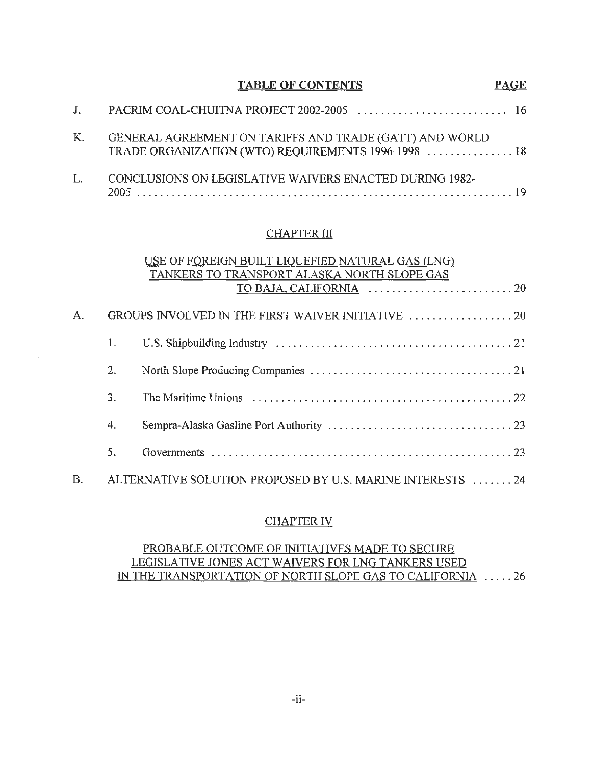|              | <b>TABLE OF CONTENTS</b>                                                                                       | <b>PAGE</b> |
|--------------|----------------------------------------------------------------------------------------------------------------|-------------|
| $J_{\rm{r}}$ |                                                                                                                |             |
| K.           | GENERAL AGREEMENT ON TARIFFS AND TRADE (GATT) AND WORLD<br>TRADE ORGANIZATION (WTO) REQUIREMENTS 1996-1998  18 |             |
| L.           | CONCLUSIONS ON LEGISLATIVE WAIVERS ENACTED DURING 1982-                                                        |             |

 $\mathcal{A}^{\mathcal{A}}$ 

## **CHAPTER III**

|    |    | USE OF FOREIGN BUILT LIQUEFIED NATURAL GAS (LNG)                                                         |
|----|----|----------------------------------------------------------------------------------------------------------|
|    |    | TANKERS TO TRANSPORT ALASKA NORTH SLOPE GAS                                                              |
|    |    |                                                                                                          |
|    |    |                                                                                                          |
| A. |    |                                                                                                          |
|    |    |                                                                                                          |
|    | 1. |                                                                                                          |
|    |    |                                                                                                          |
|    | 2. |                                                                                                          |
|    |    |                                                                                                          |
|    | 3. | The Maritime Unions $\ldots, \ldots, \ldots, \ldots, \ldots, \ldots, \ldots, \ldots, \ldots, \ldots, 22$ |
|    |    |                                                                                                          |
|    | 4. |                                                                                                          |
|    |    |                                                                                                          |
|    | 5. |                                                                                                          |
|    |    |                                                                                                          |
| В. |    | ALTERNATIVE SOLUTION PROPOSED BY U.S. MARINE INTERESTS  24                                               |
|    |    |                                                                                                          |

### CHAPTER IV

## PROBABLE OUTCOME OF INITIATIVES MADE TO SECURE LEGISLATIVE JONES ACT WAIVERS FOR LNG TANKERS USED IN THE TRANSPORTATION OF NORTH SLOPE GAS TO CALIFORNIA . .... 26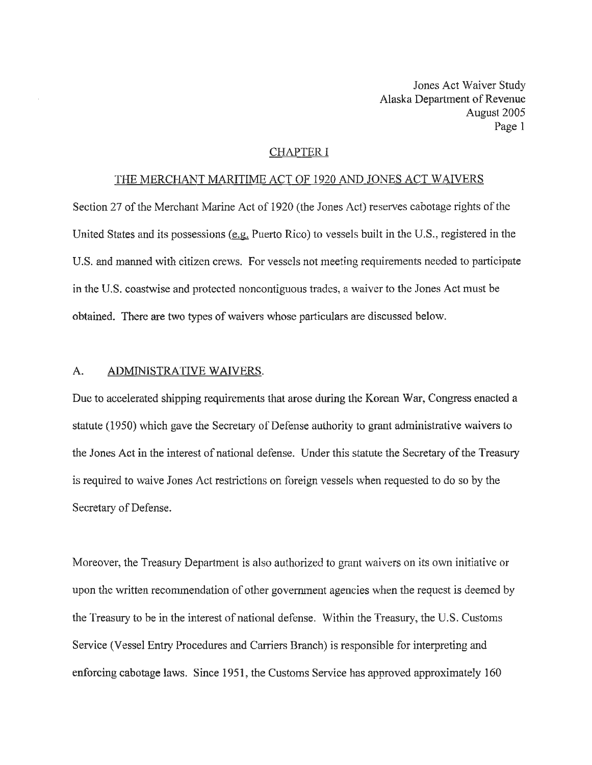#### CHAPTER I

#### THE MERCHANT MARITIME ACT OF 1920 AND JONES ACT WAIVERS

Section 27 of the Merchant Marine Act of 1920 (the Jones Act) reserves cabotage rights of the United States and its possessions (e.g. Puerto Rico) to vessels built in the U.S., registered in the U.S. and manned with citizen crews. For vessels not meeting requirements needed to participate in the U.S. coastwise and protected noncontiguous trades, a waiver to the Jones Act must be obtained. There are two types of waivers whose particulars are discussed below.

#### A. ADMINISTRATIVE WAIVERS.

Due to accelerated shipping requirements that arose during the Korean War, Congress enacted a statute (1950) which gave the Secretary of Defense authority to grant administrative waivers to the Jones Act in the interest of national defense. Under this statute the Secretary of the Treasury is required to waive Jones Act restrictions on foreign vessels when requested to do so by the Secretary of Defense.

Moreover, the Treasury Department is also authorized to grant waivers on its own initiative or upon the written recommendation of other government agencies when the request is deemed by the Treasury to be in the interest of national defense. Within the Treasury, the U.S. Customs Service (Vessel Entry Procedures and Carriers Branch) is responsible for interpreting and enforcing cabotage laws. Since 1951, the Customs Service has approved approximately 160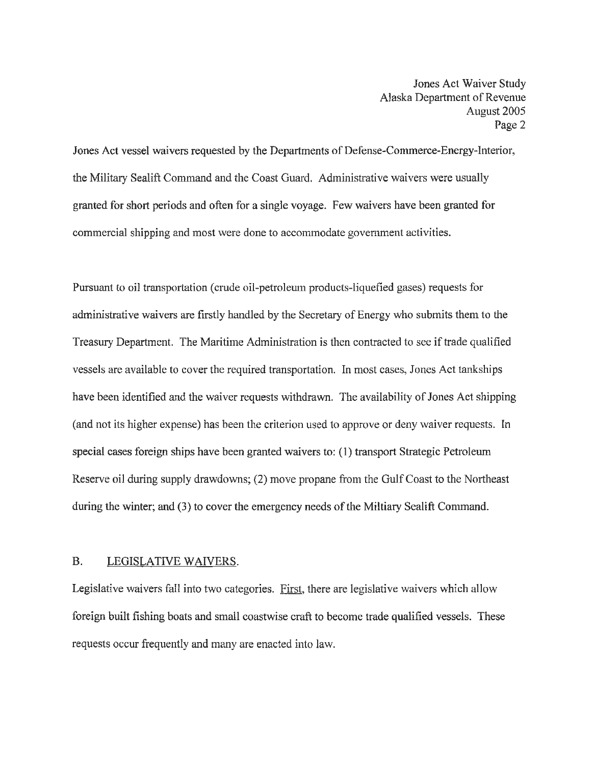Jones Act vessel waivers requested by the Departments of Defense-Commerce-Energy-Interior, the Military Sealift Command and the Coast Guard. Administrative waivers were usually granted for short periods and often for a single voyage. Few waivers have been granted for commercial shipping and most were done to accommodate government activities.

Pursuant to oil transportation (crude oil-petroleum products-liquefied gases) requests for administrative waivers are firstly handled by the Secretary of Energy who submits them to the Treasury Department. The Maritime Administration is then contracted to see if trade qualified vessels are available to cover the required transportation. In most cases, Jones Act tankships have been identified and the waiver requests withdrawn. The availability of Jones Act shipping (and not its higher expense) has been the criterion used to approve or deny waiver requests. In special cases foreign ships have been granted waivers to: (1) transport Strategic Petroleum Reserve oil during supply drawdowns; (2) move propane from the Gulf Coast to the Northeast during the winter; and (3) to cover the emergency needs of the Miltiary Sealift Command.

#### B. LEGISLATIVE WAIVERS.

Legislative waivers fall into two categories. First, there are legislative waivers which allow foreign built fishing boats and small coastwise craft to become trade qualified vessels. These requests occur frequently and many are enacted into law.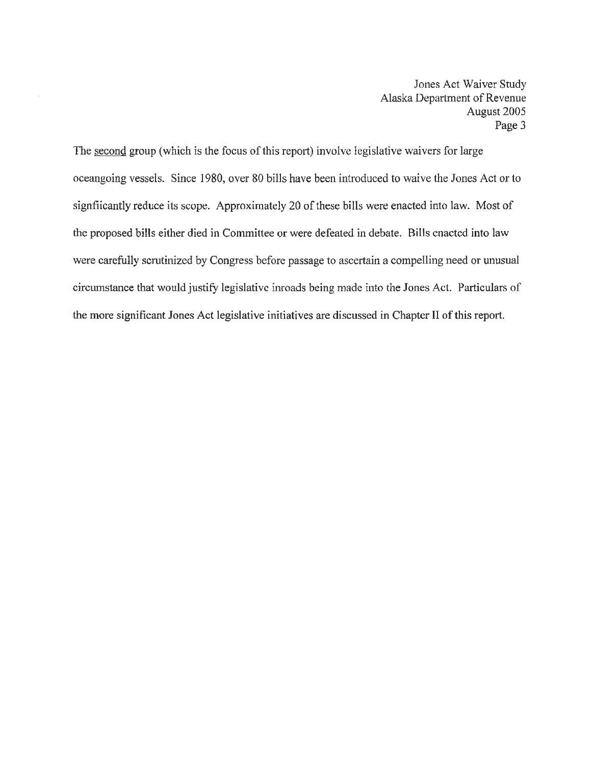The second group (which is the focus of this report) involve legislative waivers for large oceangoing vessels. Since 1980, over 80 bills have been introduced to waive the Jones Act or to signfiicantly reduce its scope. Approximately 20 of these bills were enacted into law. Most of the proposed bills either died in Committee or were defeated in debate. Bills enacted into law were carefully scrutinized by Congress before passage to ascertain a compelling need or unusual circumstance that would justify legislative inroads being made into the Jones Act. Particulars of the more significant Jones Act legislative initiatives are discussed in Chapter II of this report.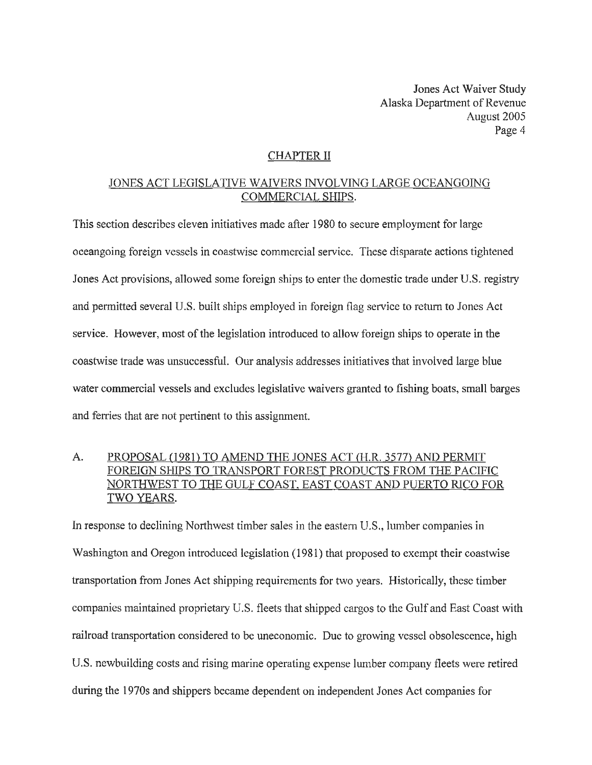## CHAPTER II

#### JONES ACT LEGISLATIVE WAIVERS INVOLVING LARGE OCEANGOING COMMERCIAL SHIPS.

This section describes eleven initiatives made after 1980 to secure employment for large oceangoing foreign vessels in coastwise commercial service. These disparate actions tightened Jones Act provisions, allowed some foreign ships to enter the domestic trade under U.S. registry and permitted several U.S. built ships employed in foreign flag service to return to Jones Act service. However, most of the legislation introduced to allow foreign ships to operate in the coastwise trade was unsuccessful. Our analysis addresses initiatives that involved large blue water commercial vessels and excludes legislative waivers granted to fishing boats, small barges and ferries that are not pertinent to this assignment.

## A. PROPOSAL (1981) TO AMEND THE JONES ACT (H.R. 3577) AND PERMIT FOREIGN SHIPS TO TRANSPORT FOREST PRODUCTS FROM THE PACIFIC NORTHWEST TO THE GULF COAST, EAST COAST AND PUERTO RICO FOR TWO YEARS.

In response to declining Northwest timber sales in the eastem U.S., lumber companies in Washington and Oregon introduced legislation (1981) that proposed to exempt their coastwise transportation from Jones Act shipping requirements for two years. Historically, these timber companies maintained proprietary U.S. fleets that shipped cargos to the Gulf and East Coast with railroad transportation considered to be uneconomic. Due to growing vessel obsolescence, high U.S. newbuilding costs and rising marine operating expense lumber company fleets were retired during the 1970s and shippers became dependent on independent Jones Act companies for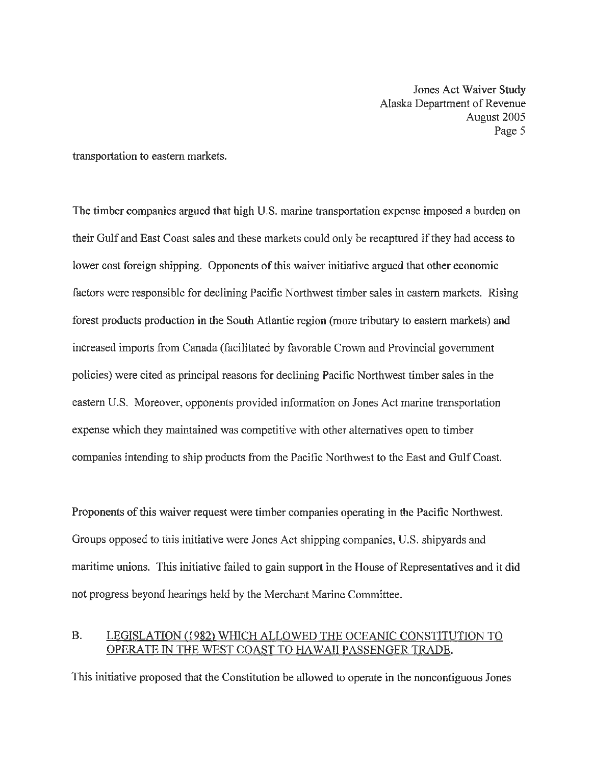transportation to eastern markets.

The timber companies argued that high U.S. marine transportation expense imposed a burden on their Gulf and East Coast sales and these markets could only be recaptured if they had access to lower cost foreign shipping. Opponents of this waiver initiative argued that other economic factors were responsible for declining Pacific Northwest timber sales in eastern markets. Rising forest products production in the South Atlantic region (more tributary to eastern markets) and increased imports from Canada (facilitated by favorable Crown and Provincial government policies) were cited as principal reasons for declining Pacific Northwest timber sales in the eastern U.S. Moreover, opponents provided information on Jones Act marine transportation expense which they maintained was competitive with other alternatives open to timber companies intending to ship products from the Pacific Northwest to the East and Gulf Coast.

Proponents of this waiver request were timber companies operating in the Pacific Northwest. Groups opposed to this initiative were Jones Act shipping companies, U.S. shipyards and maritime unions. This initiative failed to gain support in the House of Representatives and it did not progress beyond hearings held by the Merchant Marine Committee.

## B. LEGISLATION (1982) WHICH ALLOWED THE OCEANIC CONSTITUTION TO OPERATE IN THE WEST COAST TO HAWAII PASSENGER TRADE.

This initiative proposed that the Constitution be allowed to operate in the noncontiguous Jones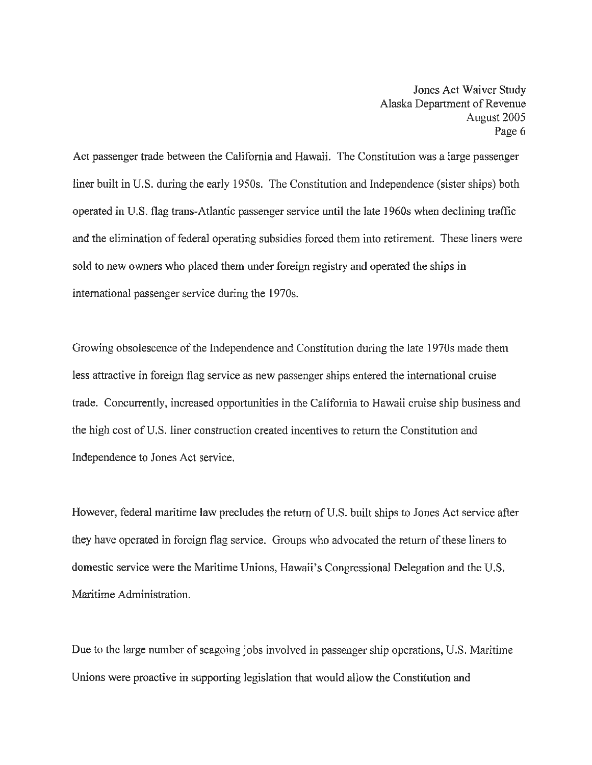Act passenger trade between the California and Hawaii. The Constitution was a large passenger liner built in U.S. during the early 1950s. The Constitution and Independence (sister ships) both operated in U.S. flag trans-Atlantic passenger service until the late 1960s when declining traffic and the elimination of federal operating subsidies forced them into retirement. These liners were sold to new owners who placed them under foreign registry and operated the ships in international passenger service during the 1970s.

Growing obsolescence of the Independence and Constitution during the late 1970s made them less attractive in foreign flag service as new passenger ships entered the international cruise trade. Concurrently, increased opportunities in the California to Hawaii cruise ship business and the high cost of U.S. liner construction created incentives to return the Constitution and Independence to Jones Act service.

However, federal maritime law precludes the return of U.S. built ships to Jones Act service after they have operated in foreign flag service. Groups who advocated the return of these liners to domestic service were the Maritime Unions, Hawaii's Congressional Delegation and the U.S. Maritime Administration.

Due to the large number of seagoing jobs involved in passenger ship operations, U.S. Maritime Unions were proactive in supporting legislation that would allow the Constitution and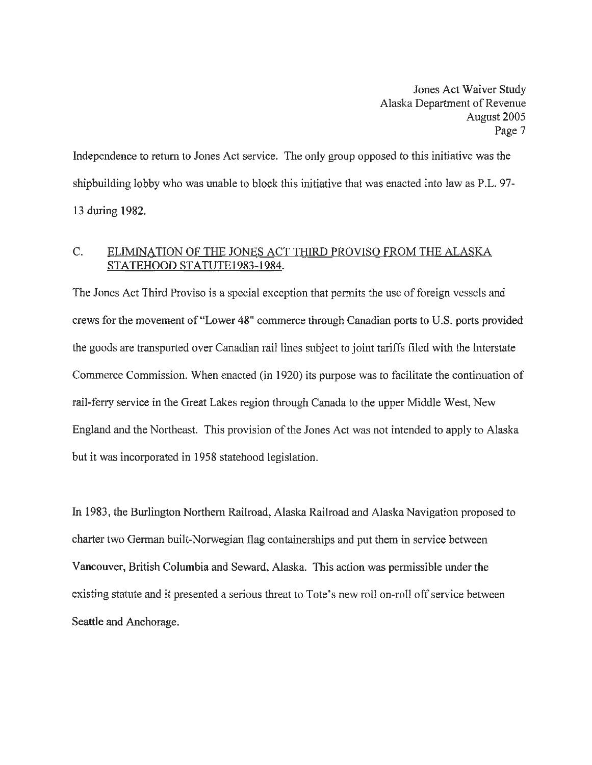Independence to return to Jones Act service. The only group opposed to this initiative was the shipbuilding lobby who was unable to block this initiative that was enacted into law as P.L. 97- 13 during 1982.

## C. ELIMINATION OF THE JONES ACT THIRD PROVISO FROM THE ALASKA STATEHOOD STATUTE1983-1984.

The Jones Act Third Proviso is a special exception that permits the use of foreign vessels and crews for the movement of"Lower 48" commerce through Canadian ports to U.S. ports provided the goods are transported over Canadian rail lines subject to joint tariffs filed with the Interstate Commerce Commission. When enacted (in 1920) its purpose was to facilitate the continuation of rail-ferry service in the Great Lakes region through Canada to the upper Middle West, New England and the Northeast. This provision of the Jones Act was not intended to apply to Alaska but it was incorporated in 1958 statehood legislation.

In 1983, the Burlington Northern Railroad, Alaska Railroad and Alaska Navigation proposed to charter two German built-Norwegian flag containerships and put them in service between Vancouver, British Columbia and Seward, Alaska. This action was permissible under the existing statute and it presented a serious threat to Tote's new roll on-roll off service between Seattle and Anchorage.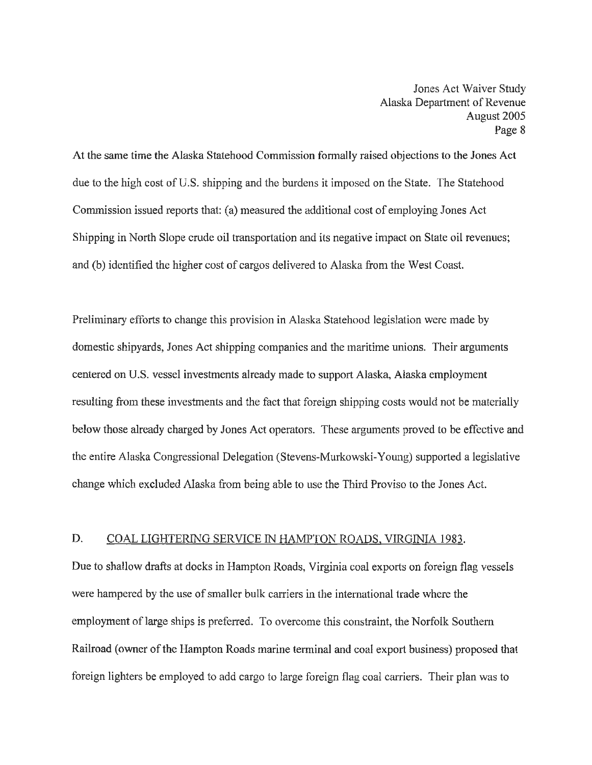At the same time the Alaska Statehood Commission formally raised objections to the Jones Act due to the high cost of U.S. shipping and the burdens it imposed on the State. The Statehood Commission issued reports that: (a) measured the additional cost of employing Jones Act Shipping in North Slope crude oil transportation and its negative impact on State oil revenues; and (b) identified the higher cost of cargos delivered to Alaska from the West Coast.

Preliminary efforts to change this provision in Alaska Statehood legislation were made by domestic shipyards, Jones Act shipping companies and the maritime unions. Their arguments centered on U.S. vessel investments already made to support Alaska, Alaska employment resulting from these investments and the fact that foreign shipping costs would not be materially below those already charged by Jones Act operators. These arguments proved to be effective and the entire Alaska Congressional Delegation (Stevens-Murkowski-Young) supported a legislative change which excluded Alaska from being able to use the Third Proviso to the Jones Act.

#### D. COAL LIGHTERING SERVICE IN HAMPTON ROADS. VIRGINIA 1983.

Due to shallow drafts at docks in Hampton Roads, Virginia coal exports on foreign flag vessels were hampered by the use of smaller bulk carriers in the international trade where the employment of large ships is preferred. To overcome this constraint, the Norfolk Southern Railroad (owner of the Hampton Roads marine terminal and coal export business) proposed that foreign lighters be employed to add cargo to large foreign flag coal carriers. Their plan was to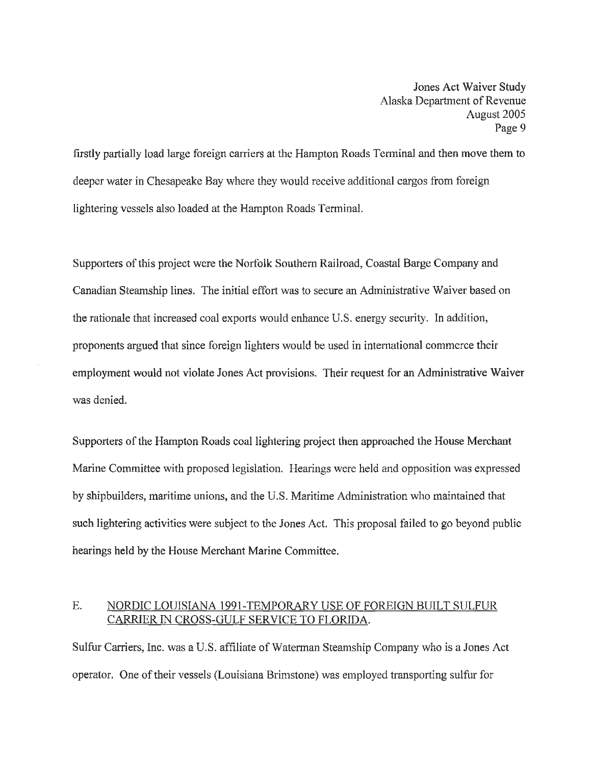firstly partially load large foreign carriers at the Hampton Roads Terminal and then move them to deeper water in Chesapeake Bay where they would receive additional cargos from foreign lightering vessels also loaded at the Hampton Roads Terminal.

Supporters of this project were the Norfolk Southern Railroad, Coastal Barge Company and Canadian Steamship lines. The initial effort was to secure an Administrative Waiver based on the rationale that increased coal exports would enhance U.S. energy security. In addition, proponents argued that since foreign lighters would be used in international commerce their employment would not violate Jones Act provisions. Their request for an Administrative Waiver was denied.

Supporters of the Hampton Roads coal lightering project then approached the House Merchant Marine Committee with proposed legislation. Hearings were held and opposition was expressed by shipbuilders, maritime unions, and the U.S. Maritime Administration who maintained that such lightering activities were subject to the Jones Act. This proposal failed to go beyond public hearings held by the House Merchant Marine Committee.

#### E. NORDIC LOUISIANA 1991-TEMPORARY USE OF FOREIGN BUILT SULFUR CARRIER IN CROSS-GULF SERVICE TO FLORIDA.

Sulfur Carriers, Inc. was a U.S. affiliate of Waterman Steamship Company who is a Jones Act operator. One of their vessels (Louisiana Brimstone) was employed transporting sulfur for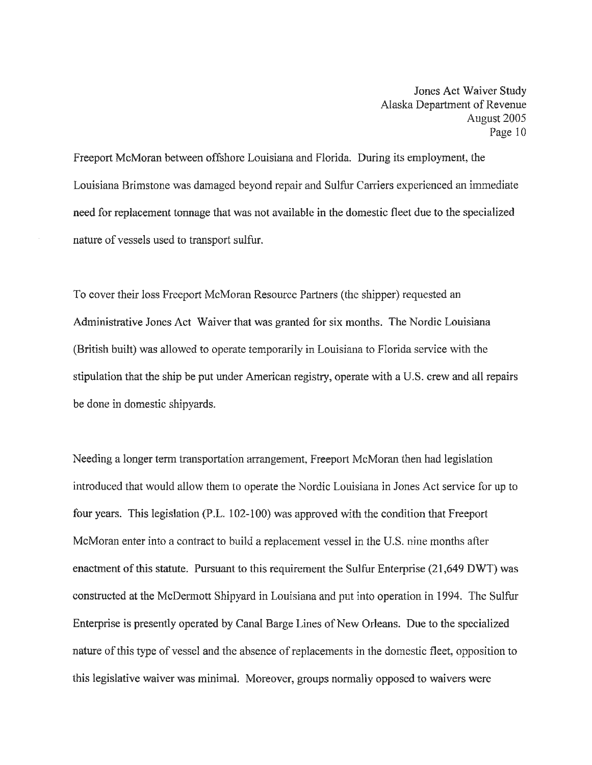Freeport McMoran between offshore Louisiana and Florida. During its employment, the Louisiana Brimstone was damaged beyond repair and Sulfur Carriers experienced an immediate need for replacement tonnage that was not available in the domestic fleet due to the specialized nature of vessels used to transport sulfur.

To cover their loss Freeport McMoran Resource Partners (the shipper) requested an Administrative Jones Act Waiver that was granted for six months. The Nordic Louisiana (British built) was allowed to operate temporarily in Louisiana to Florida service with the stipulation that the ship be put under American registry, operate with a U.S. crew and all repairs be done in domestic shipyards.

Needing a longer term transportation arrangement, Freeport McMoran then had legislation introduced that would allow them to operate the Nordic Louisiana in Jones Act service for up to four years. This legislation (P.L. 102-100) was approved with the condition that Freeport McMoran enter into a contract to build a replacement vessel in the U.S. nine months after enactment of this statute. Pursuant to this requirement the Sulfur Enterprise (21 ,649 DWT) was constructed at the McDermott Shipyard in Louisiana and put into operation in 1994. The Sulfur Enterprise is presently operated by Canal Barge Lines of New Orleans. Due to the specialized nature of this type of vessel and the absence of replacements in the domestic fleet, opposition to this legislative waiver was minimal. Moreover, groups normally opposed to waivers were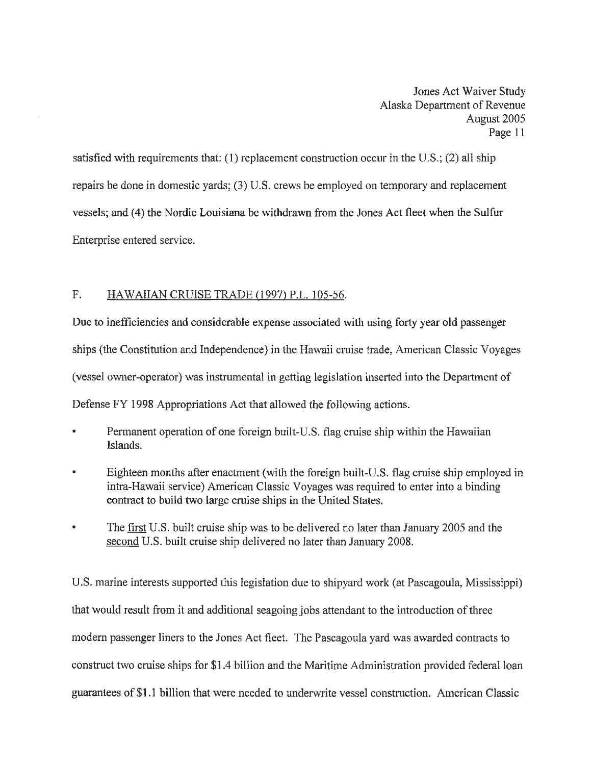satisfied with requirements that: (1) replacement construction occur in the U.S.; (2) all ship repairs be done in domestic yards; (3) U.S. crews be employed on temporary and replacement vessels; and (4) the Nordic Louisiana be withdrawn from the Jones Act fleet when the Sulfur Enterprise entered service.

#### F. HAWAIIAN CRUISE TRADE (1997) P.L. 105-56.

Due to inefficiencies and considerable expense associated with using forty year old passenger ships (the Constitution and Independence) in the Hawaii cruise trade, American Classic Voyages (vessel owner-operator) was instrumental in getting legislation inserted into the Department of Defense FY 1998 Appropriations Act that allowed the following actions.

- Permanent operation of one foreign built-U.S. flag cruise ship within the Hawaiian Islands.
- Eighteen months after enactment (with the foreign built-U.S. flag cruise ship employed in intra-Hawaii service) American Classic Voyages was required to enter into a binding contract to build two large cruise ships in the United States.
- The first U.S. built cruise ship was to be delivered no later than January 2005 and the second U.S. built cruise ship delivered no later than January 2008.

U.S. marine interests supported this legislation due to shipyard work (at Pascagoula, Mississippi) that would result from it and additional seagoing jobs attendant to the introduction of three modem passenger liners to the Jones Act fleet. The Pascagoula yard was awarded contracts to construct two cruise ships for \$1.4 billion and the Maritime Administration provided federal loan guarantees of\$1.1 billion that were needed to underwrite vessel construction. American Classic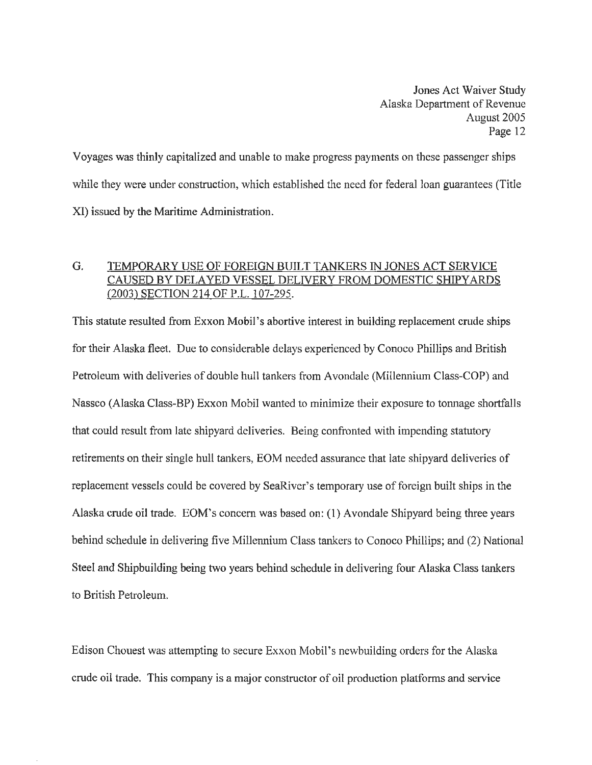Voyages was thinly capitalized and unable to make progress payments on these passenger ships while they were under construction, which established the need for federal loan guarantees (Title XI) issued by the Maritime Administration.

## G. TEMPORARY USE OF FOREIGN BUILT TANKERS IN JONES ACT SERVICE CAUSED BY DELAYED VESSEL DELIVERY FROM DOMESTIC SHIPYARDS (2003) SECTION 214 OF P.L. 107-295.

This statute resulted from Exxon Mobil's abortive interest in building replacement crude ships for their Alaska fleet. Due to considerable delays experienced by Conoco Phillips and British Petroleum with deliveries of double hull tankers from Avondale (Millennium Class-COP) and Nassco (Alaska Class-BP) Exxon Mobil wanted to minimize their exposure to tonnage shortfalls that could result from late shipyard deliveries. Being confronted with impending statutory retirements on their single hull tankers, EOM needed assurance that late shipyard deliveries of replacement vessels could be covered by SeaRiver's temporary use of foreign built ships in the Alaska crude oil trade. EOM's concern was based on: (1) Avondale Shipyard being three years behind schedule in delivering five Millennium Class tankers to Conoco Phillips; and (2) National Steel and Shipbuilding being two years behind schedule in delivering four Alaska Class tankers to British Petroleum.

Edison Chouest was attempting to secure Exxon Mobil's newbuilding orders for the Alaska crude oil trade. This company is a major constructor of oil production platforms and service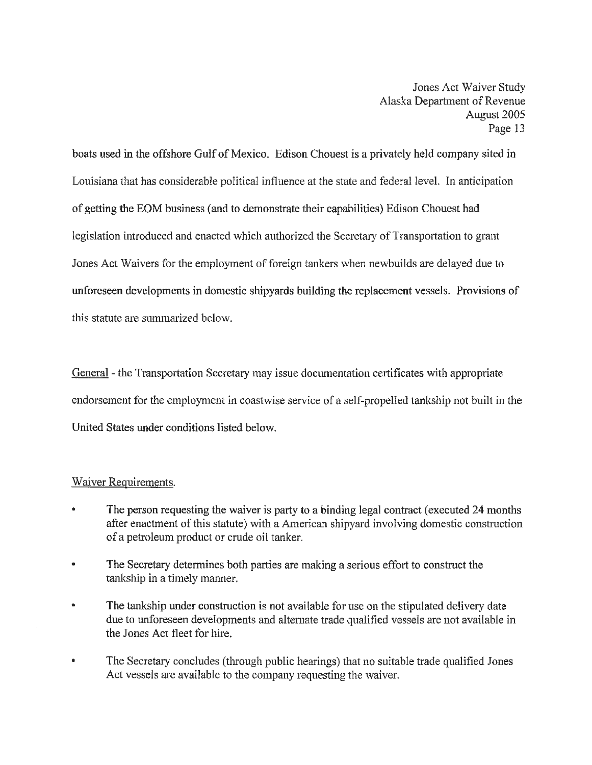boats used in the offshore Gulf of Mexico. Edison Chouest is a privately held company sited in Louisiana that has considerable political influence at the state and federal level. In anticipation of getting the EOM business (and to demonstrate their capabilities) Edison Chouest had legislation introduced and enacted which authorized the Secretary of Transportation to grant Jones Act Waivers for the employment of foreign tankers when newbuilds are delayed due to unforeseen developments in domestic shipyards building the replacement vessels. Provisions of this statute are summarized below.

General - the Transportation Secretary may issue documentation certificates with appropriate endorsement for the employment in coastwise service of a self-propelled tankship not built in the United States under conditions listed below.

#### Waiver Requirements.

- The person requesting the waiver is party to a binding legal contract (executed 24 months after enactment of this statute) with a American shipyard involving domestic construction of a petroleum product or crude oil tanker.
- The Secretary determines both parties are making a serious effort to construct the tankship in a timely manner.
- The tankship under construction is not available for use on the stipulated delivery date due to unforeseen developments and alternate trade qualified vessels are not available in the Jones Act fleet for hire.
- The Secretary concludes (through public hearings) that no suitable trade qualified Jones Act vessels are available to the company requesting the waiver.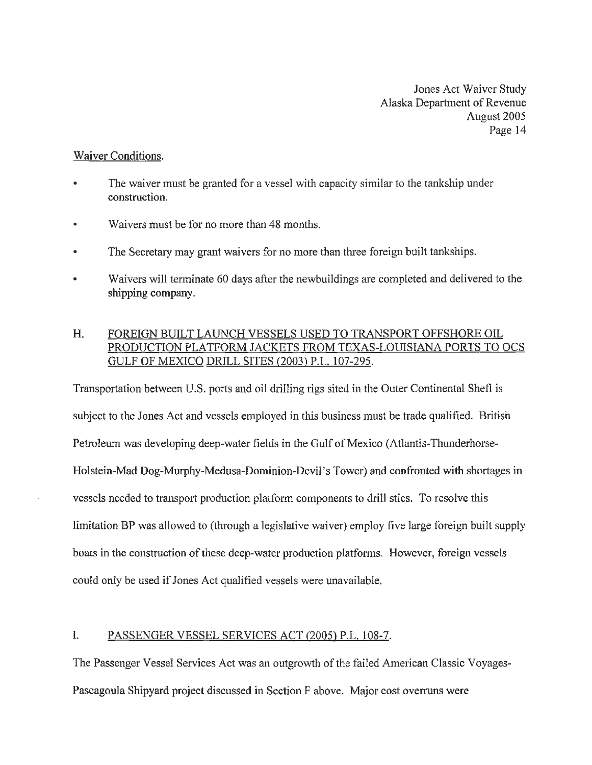#### Waiver Conditions.

- The waiver must be granted for a vessel with capacity similar to the tankship under construction.
- Waivers must be for no more than 48 months.
- The Secretary may grant waivers for no more than three foreign built tankships.
- Waivers will terminate 60 days after the newbuildings are completed and delivered to the shipping company.

## H. FOREIGN BUILT LAUNCH VESSELS USED TO TRANSPORT OFFSHORE OIL PRODUCTION PLATFORM JACKETS FROM TEXAS-LOUISIANA PORTS TO OCS GULF OF MEXICO DRILL SITES (2003) P.L. 107-295.

Transportation between U.S. ports and oil drilling rigs sited in the Outer Continental Shefl is subject to the Jones Act and vessels employed in this business must be trade qualified. British Petroleum was developing deep-water fields in the Gulf of Mexico (Atlantis-Thunderhorse-Holstein-Mad Dog-Murphy-Medusa-Dominion-Devil's Tower) and confronted with shortages in vessels needed to transport production platform components to drill sties. To resolve this limitation BP was allowed to (through a legislative waiver) employ five large foreign built supply boats in the construction of these deep-water production platforms. However, foreign vessels could only be used if Jones Act qualified vessels were unavailable.

### I. PASSENGER VESSEL SERVICES ACT (2005) P.L. 108-7.

The Passenger Vessel Services Act was an outgrowth of the failed American Classic Voyages-Pascagoula Shipyard project discussed in Section F above. Major cost overruns were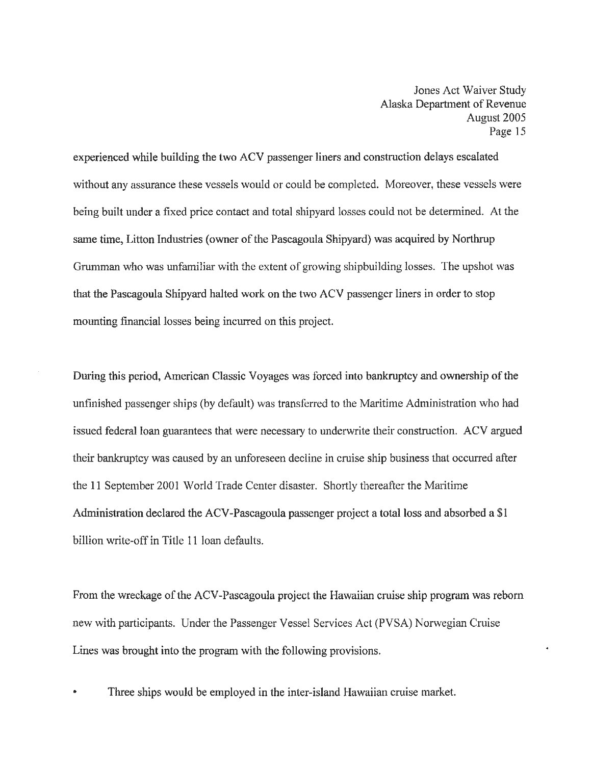experienced while building the two ACV passenger liners and construction delays escalated without any assurance these vessels would or could be completed. Moreover, these vessels were being built under a fixed price contact and total shipyard losses could not be determined. At the same time, Litton Industries (owner of the Pascagoula Shipyard) was acquired by Northrup Grumman who was unfamiliar with the extent of growing shipbuilding losses. The upshot was that the Pascagoula Shipyard halted work on the two ACV passenger liners in order to stop mounting financial losses being incurred on this project.

During this period, American Classic Voyages was forced into bankruptcy and ownership of the unfinished passenger ships (by default) was transferred to the Maritime Administration who had issued federal loan guarantees that were necessary to underwrite their construction. ACV argued their bankruptcy was caused by an tmforeseen decline in cruise ship business that occurred after the 11 September 2001 World Trade Center disaster. Shortly thereafter the Maritime Administration declared the ACV-Pascagoula passenger project a total loss and absorbed a \$1 billion write-off in Title 11 loan defaults.

From the wreckage of the ACV-Pascagoula project the Hawaiian cruise ship program was reborn new with participants. Under the Passenger Vessel Services Act (PVSA) Norwegian Cruise Lines was brought into the program with the following provisions.

Three ships would be employed in the inter-island Hawaiian cruise market.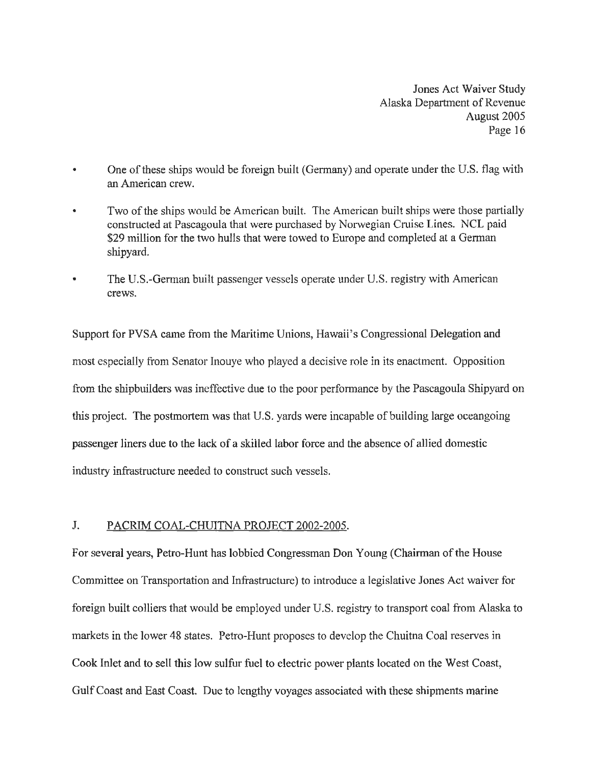- One of these ships would be foreign built (Germany) and operate under the U.S. flag with an American crew.
- Two of the ships would be American built. The American built ships were those partially constructed at Pascagoula that were purchased by Norwegian Cruise Lines. NCL paid \$29 million for the two hulls that were towed to Europe and completed at a German shipyard.
- The U.S.-Gerrnan built passenger vessels operate under U.S. registry with American crews.

Support for PVSA came from the Maritime Unions, Hawaii's Congressional Delegation and most especially from Senator Inouye who played a decisive role in its enactment. Opposition from the shipbuilders was ineffective due to the poor performance by the Pascagoula Shipyard on this project. The postmortem was that U.S. yards were incapable of building large oceangoing passenger liners due to the lack of a skilled labor force and the absence of allied domestic industry infrastructure needed to construct such vessels.

#### J. PACRIM COAL-CHUITNA PROJECT 2002-2005.

For several years, Petro-Hunt has lobbied Congressman Don Young (Chairman of the House Committee on Transportation and Infrastructure) to introduce a legislative Jones Act waiver for foreign built colliers that would be employed under U.S. registry to transport coal from Alaska to markets in the lower 48 states. Petro-Hunt proposes to develop the Chuitna Coal reserves in Cook Inlet and to sell this low sulfur fuel to electric power plants located on the West Coast, Gulf Coast and East Coast. Due to lengthy voyages associated with these shipments marine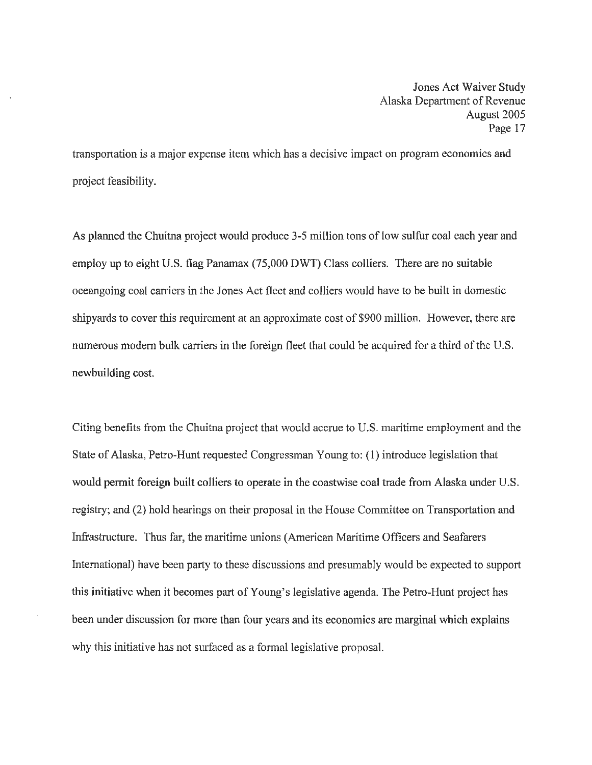transportation is a major expense item which has a decisive impact on program economics and project feasibility.

As planned the Chuitna project would produce 3-5 million tons of low sulfur coal each year and employ up to eight U.S. flag Panamax (75,000 DWT) Class colliers. There are no suitable oceangoing coal carriers in the Jones Act fleet and colliers would have to be built in domestic shipyards to cover this requirement at an approximate cost of \$900 million. However, there are numerous modern bulk carriers in the foreign fleet that could be acquired for a third of the U.S. newbuilding cost.

Citing benefits from the Chuitna project that would accrue to U.S. maritime employment and the State of Alaska, Petro-Hunt requested Congressman Young to: (1) introduce legislation that would permit foreign built colliers to operate in the coastwise coal trade from Alaska under U.S. registry; and (2) bold hearings on their proposal in the House Committee on Transportation and Infrastructure. Thus far, the maritime unions (American Maritime Officers and Seafarers International) have been party to these discussions and presumably would be expected to support this initiative when it becomes part of Young's legislative agenda. The Petro-Hunt project has been under discussion for more than four years and its economics are marginal which explains why this initiative has not surfaced as a formal legislative proposal.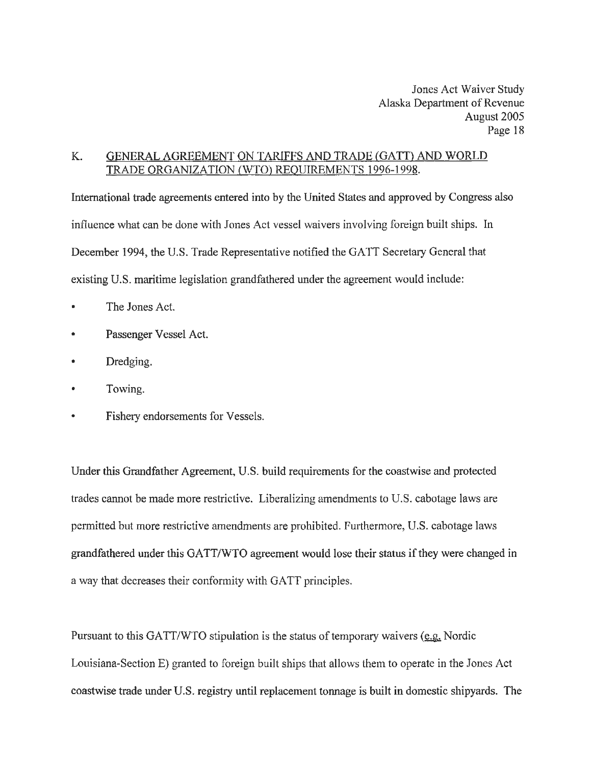#### K. GENERAL AGREEMENT ON TARIFFS AND TRADE (GATT) AND WORLD TRADE ORGANIZATION (WTO) REQUIREMENTS 1996-1998.

International trade agreements entered into by the United States and approved by Congress also influence what can be done with Jones Act vessel waivers involving foreign built ships. In December 1994, the U.S. Trade Representative notified the GATT Secretary General that existing U.S. maritime legislation grandfathered under the agreement would include:

- The Jones Act.
- Passenger Vessel Act.
- Dredging.
- Towing.
- Fishery endorsements for Vessels.

Under this Grandfather Agreement, U.S. build requirements for the coastwise and protected trades cannot be made more restrictive. Liberalizing amendments to U.S. cabotage laws are permitted but more restrictive amendments are prohibited. Furthermore, U.S. cabotage laws grandfathered under this GATT /WTO agreement would lose their status if they were changed in a way that decreases their conformity with GATT principles.

Pursuant to this GATT/WTO stipulation is the status of temporary waivers ( $e.g.$  Nordic</u> Louisiana-Section E) granted to foreign built ships that allows them to operate in the Jones Act coastwise trade under U.S. registry until replacement tonnage is built in domestic shipyards. The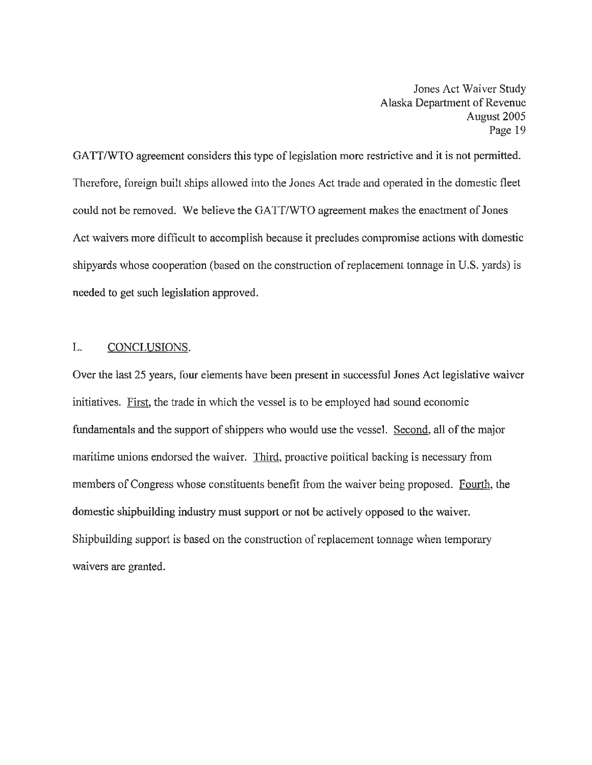GATT/WTO agreement considers this type of legislation more restrictive and it is not permitted. Therefore, foreign built ships allowed into the Jones Act trade and operated in the domestic fleet could not be removed. We believe the GATT/WTO agreement makes the enactment of Jones Act waivers more difficult to accomplish because it precludes compromise actions with domestic shipyards whose cooperation (based on the construction of replacement tonnage in U.S. yards) is needed to get such legislation approved.

#### L. CONCLUSIONS.

Over the last 25 years, four elements have been present in successful Jones Act legislative waiver initiatives. First, the trade in which the vessel is to be employed had sound economic fundamentals and the support of shippers who would use the vessel. Second, all of the major maritime unions endorsed the waiver. Third, proactive political backing is necessary from members of Congress whose constituents benefit from the waiver being proposed. Fourth, the domestic shipbuilding industry must support or not be actively opposed to the waiver. Shipbuilding support is based on the construction of replacement tonnage when temporary waivers are granted.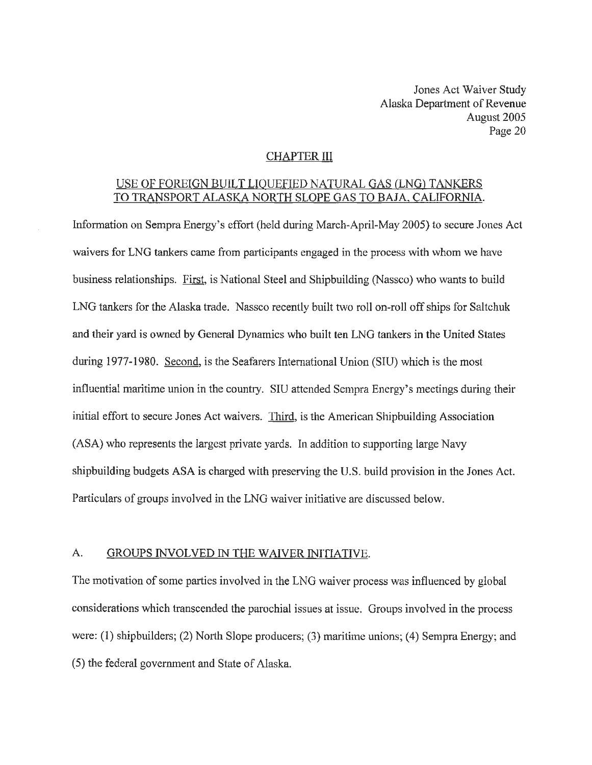#### CHAPTER III

#### USE OF FOREIGN BUILT LIQUEFIED NATURAL GAS (LNG) TANKERS TO TRANSPORT ALASKA NORTH SLOPE GAS TO BAJA. CALIFORNIA.

Information on Sempra Energy's effort (held during March-April-May 2005) to secure Jones Act waivers for LNG tankers came from participants engaged in the process with whom we have business relationships. First, is National Steel and Shipbuilding (Nassco) who wants to build LNG tankers for the Alaska trade. Nassco recently built two roll on-roll off ships for Saltchuk and their yard is owned by General Dynamics who built ten LNG tankers in the United States during 1977-1980. Second, is the Seafarers International Union (SIU) which is the most influential maritime union in the country. SIU attended Sempra Energy's meetings during their initial effort to secure Jones Act waivers. Third, is the American Shipbuilding Association (ASA) who represents the largest private yards. In addition to supporting large Navy shipbuilding budgets ASA is charged with preserving the U.S. build provision in the Jones Act. Particulars of groups involved in the LNG waiver initiative are discussed below.

#### A. GROUPS INVOLVED IN THE WAIVER INITIATIVE.

The motivation of some parties involved in the LNG waiver process was influenced by global considerations which transcended the parochial issues at issue. Groups involved in the process were: (1) shipbuilders; (2) North Slope producers; (3) maritime unions; (4) Sempra Energy; and (5) the federal government and State of Alaska.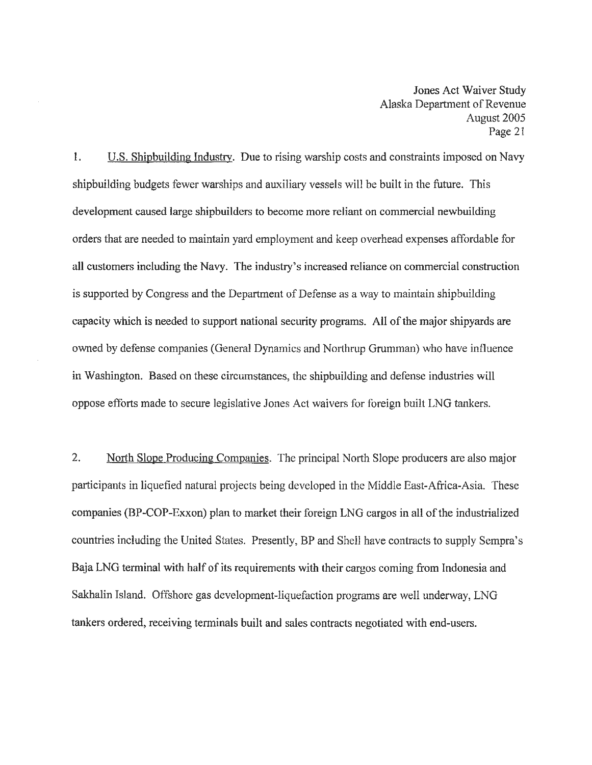1. U.S. Shipbuilding Industry. Due to rising warship costs and constraints imposed on Navy shipbuilding budgets fewer warships and auxiliary vessels will be built in the future. This development caused large shipbuilders to become more reliant on commercial newbuilding orders that are needed to maintain yard employment and keep overhead expenses affordable for all customers including the Navy. The industry's increased reliance on commercial construction is supported by Congress and the Department of Defense as a way to maintain shipbuilding capacity which is needed to support national security programs. All of the major shipyards are owned by defense companies (General Dynamics and Northrup Grumman) who have influence in Washington. Based on these circumstances, the shipbuilding and defense industries will oppose efforts made to secure legislative Jones Act waivers for foreign built LNG tankers.

2. North Slope Producing Companies. The principal North Slope producers are also major participants in liquefied natural projects being developed in the Middle East-Africa-Asia. These companies (BP-COP-Exxon) plan to market their foreign LNG cargos in all of the industrialized countries including the United States. Presently, BP and Shell have contracts to supply Sempra's Baja LNG terminal with half of its requirements with their cargos coming from Indonesia and Sakhalin Island. Offshore gas development-liquefaction programs are well underway, LNG tankers ordered, receiving terminals built and sales contracts negotiated with end-users.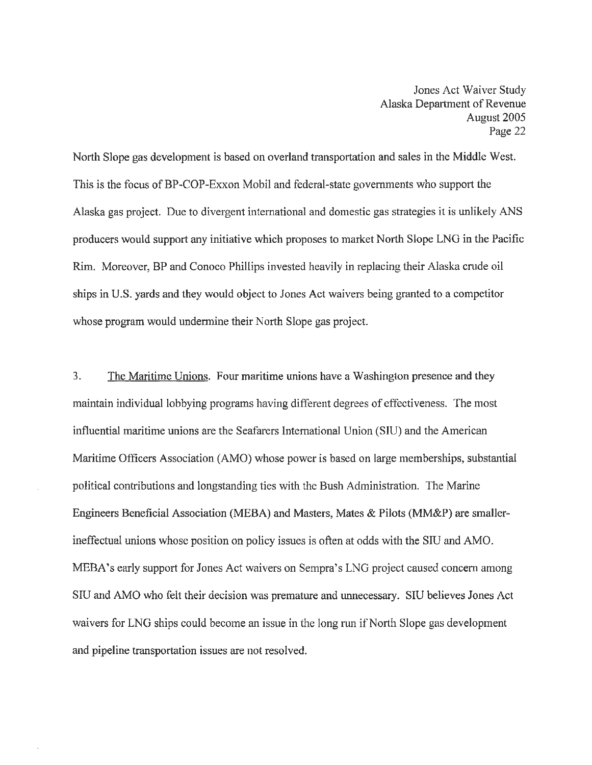North Slope gas development is based on overland transportation and sales in the Middle West. This is the focus ofBP-COP-Exxon Mobil and federal-state governments who support the Alaska gas project. Due to divergent international and domestic gas strategies it is unlikely ANS producers would support any initiative which proposes to market North Slope LNG in the Pacific Rim. Moreover, BP and Conoco Phillips invested heavily in replacing their Alaska crude oil ships in U.S. yards and they would object to Jones Act waivers being granted to a competitor whose program would undermine their North Slope gas project.

3. The Maritime Unions. Four maritime unions have a Washington presence and they maintain individual lobbying programs having different degrees of effectiveness. The most influential maritime unions are the Seafarers International Union (SIU) and the American Maritime Officers Association (AMO) whose power is based on large memberships, substantial political contributions and longstanding ties with the Bush Administration. The Marine Engineers Beneficial Association (MEBA) and Masters, Mates & Pilots (MM&P) are smallerineffectual unions whose position on policy issues is often at odds with the SIU and AMO. MEBA's early support for Jones Act waivers on Sempra's LNG project caused concern among SIU and AMO who felt their decision was premature and unnecessary. SIU believes Jones Act waivers for LNG ships could become an issue in the long run if North Slope gas development and pipeline transportation issues are not resolved.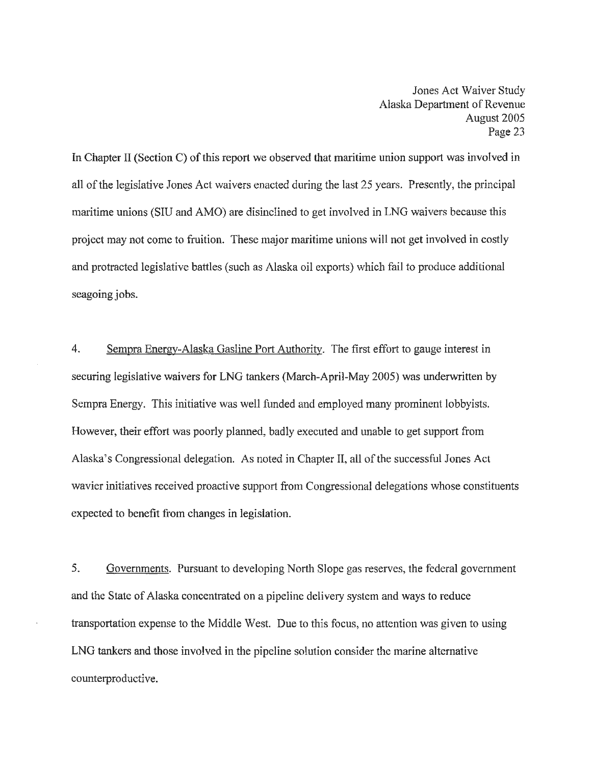In Chapter II (Section C) of this report we observed that maritime union support was involved in all of the legislative Jones Act waivers enacted during the last 25 years. Presently, the principal maritime unions (SIU and AMO) are disinclined to get involved in LNG waivers because this project may not come to fruition. These major maritime unions will not get involved in costly and protracted legislative battles (such as Alaska oil exports) which fail to produce additional seagoing jobs.

4. Sempra Energy-Alaska Gasline Port Authority. The first effort to gauge interest in securing legislative waivers for LNG tankers (March-April-May 2005) was underwritten by Sempra Energy. This initiative was well funded and employed many prominent lobbyists. However, their effort was poorly planned, badly executed and unable to get support from Alaska's Congressional delegation. As noted in Chapter II, all of the successful Jones Act wavier initiatives received proactive support from Congressional delegations whose constituents expected to benefit from changes in legislation.

5. Governments. Pursuant to developing North Slope gas reserves, the federal government and the State of Alaska concentrated on a pipeline delivery system and ways to reduce transportation expense to the Middle West. Due to this focus, no attention was given to using LNG tankers and those involved in the pipeline solution consider the marine alternative counterproductive.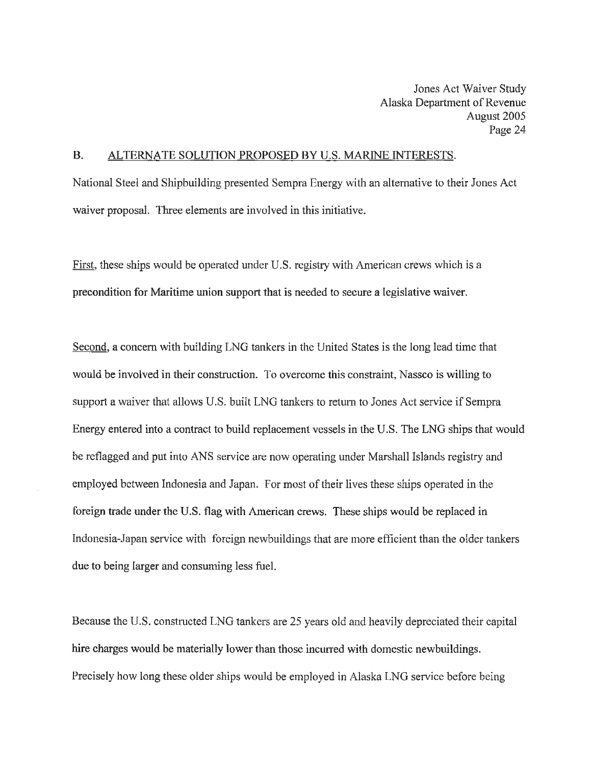#### B. ALTERNATE SOLUTION PROPOSED BY U.S. MARINE INTERESTS.

National Steel and Shipbuilding presented Sempra Energy with an alternative to their Jones Act waiver proposal. Three elements are involved in this initiative.

First, these ships would be operated under U.S. registry with American crews which is a precondition for Maritime union support that is needed to secure a legislative waiver.

Second, a concern with building LNG tankers in the United States is the long lead time that would be involved in their construction. To overcome this constraint, Nassco is willing to support a waiver that allows U.S. built LNG tankers to return to Jones Act service if Sempra Energy entered into a contract to build replacement vessels in the U.S. The LNG ships that would be reflagged and put into ANS service are now operating under Marshall Islands registry and employed between Indonesia and Japan. For most of their lives these ships operated in the foreign trade under the U.S. flag with American crews. These ships would be replaced in Indonesia-Japan service with foreign newbuildings that are more efficient than the older tankers due to being larger and consuming less fuel.

Because the U.S. constructed LNG tankers are 25 years old and heavily depreciated their capital hire charges would be materially lower than those incurred with domestic newbuildings. Precisely how long these older ships would be employed in Alaska LNG service before being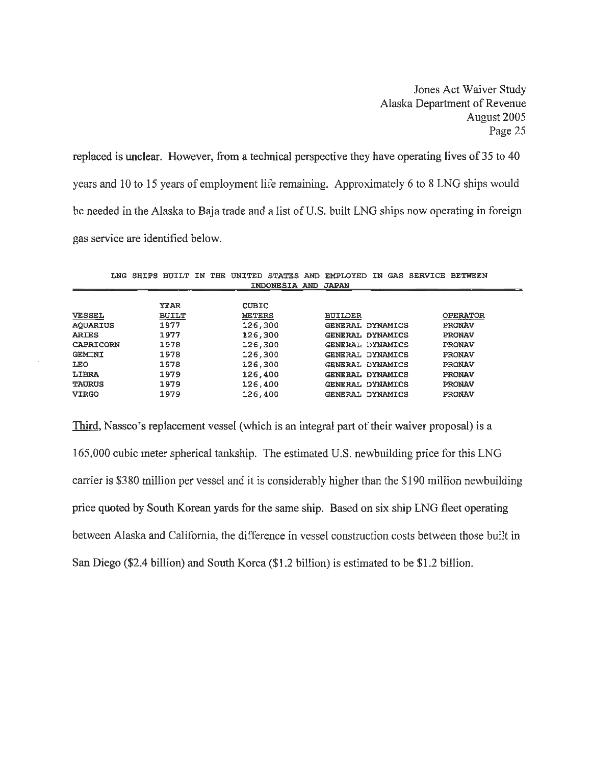replaced is unclear. However, from a technical perspective they have operating lives of 35 to 40 years and 10 to 15 years of employment life remaining. Approximately 6 to 8 LNG ships would be needed in the Alaska to Baja trade and a list of U.S. built LNG ships now operating in foreign gas service are identified below.

|                  | LNG SHIPS BUILT IN |  |               |                     | THE UNITED STATES AND EMPLOYED |  | IN GAS SERVICE BETWEEN |  |
|------------------|--------------------|--|---------------|---------------------|--------------------------------|--|------------------------|--|
|                  |                    |  |               | INDONESIA AND JAPAN |                                |  |                        |  |
|                  |                    |  |               |                     |                                |  |                        |  |
|                  | YEAR               |  | <b>CUBIC</b>  |                     |                                |  |                        |  |
| <b>VESSEL</b>    | <b>BUILT</b>       |  | <b>METERS</b> |                     | <b>BUILDER</b>                 |  | <b>OPERATOR</b>        |  |
| AQUARIUS         | 1977               |  | 126,300       |                     | GENERAL DYNAMICS               |  | <b>PRONAV</b>          |  |
| <b>ARIES</b>     | 1977               |  | 126,300       |                     | GENERAL DYNAMICS               |  | <b>PRONAV</b>          |  |
| <b>CAPRICORN</b> | 1978               |  | 126,300       |                     | GENERAL DYNAMICS               |  | <b>PRONAV</b>          |  |
| <b>GEMINI</b>    | 1978               |  | 126,300       |                     | GENERAL DYNAMICS               |  | <b>PRONAV</b>          |  |
| <b>LEO</b>       | 1978               |  | 126,300       |                     | GENERAL DYNAMICS               |  | <b>PRONAV</b>          |  |
| LIBRA            | 1979               |  | 126,400       |                     | GENERAL DYNAMICS               |  | <b>PRONAV</b>          |  |
| <b>TAURUS</b>    | 1979               |  | 126,400       |                     | GENERAL DYNAMICS               |  | <b>PRONAV</b>          |  |
| <b>VIRGO</b>     | 1979               |  | 126,400       |                     | GENERAL DYNAMICS               |  | PRONAV                 |  |

Third, Nassco's replacement vessel (which is an integral part of their waiver proposal) is a 165,000 cubic meter spherical tankship. The estimated U.S. newbuilding price for this LNG carrier is \$380 million per vessel and it is considerably higher than the \$190 million newbuilding price quoted by South Korean yards for the same ship. Based on six ship LNG fleet operating between Alaska and California, the difference in vessel construction costs between those built in San Diego (\$2.4 billion) and South Korea (\$1.2 billion) is estimated to be \$1.2 billion.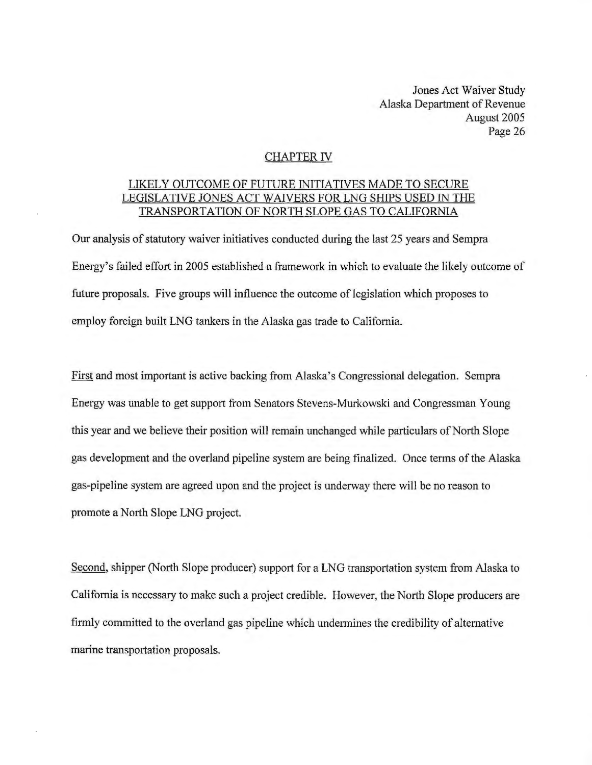#### CHAPTER IV

#### LIKELY OUTCOME OF FUTURE INITIATIVES MADE TO SECURE LEGISLATIVE JONES ACT WAIVERS FOR LNG SHIPS USED IN THE TRANSPORTATION OF NORTH SLOPE GAS TO CALIFORNIA

Our analysis of statutory waiver initiatives conducted during the last 25 years and Sempra Energy's failed effort in 2005 established a framework in which to evaluate the likely outcome of future proposals. Five groups will influence the outcome of legislation which proposes to employ foreign built LNG tankers in the Alaska gas trade to California.

First and most important is active backing from Alaska's Congressional delegation. Sempra Energy was unable to get support from Senators Stevens-Murkowski and Congressman Young this year and we believe their position will remain unchanged while particulars of North Slope gas development and the overland pipeline system are being finalized. Once terms of the Alaska gas-pipeline system are agreed upon and the project is underway there will be no reason to promote a North Slope LNG project.

Second, shipper (North Slope producer) support for a LNG transportation system from Alaska to California is necessary to make such a project credible. However, the North Slope producers are firmly committed to the overland gas pipeline which undermines the credibility of alternative marine transportation proposals.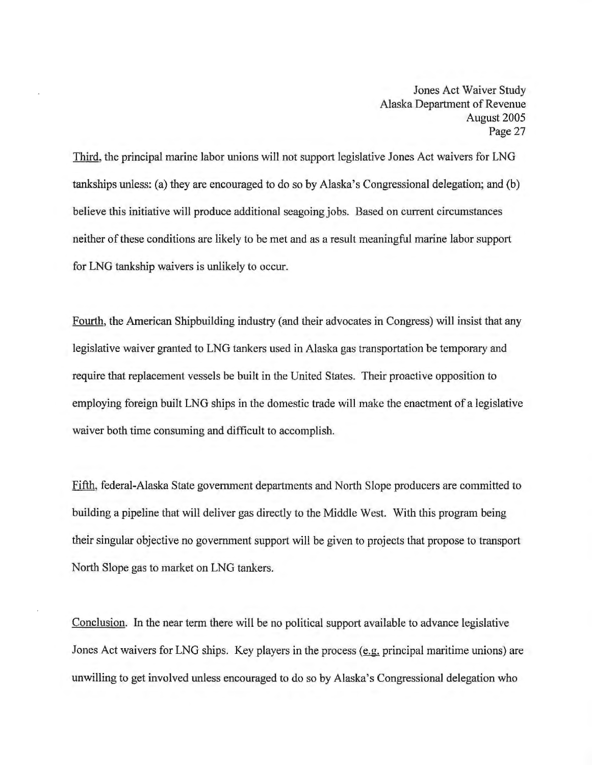Third, the principal marine labor unions will not support legislative Jones Act waivers for LNG tankships unless: (a) they are encouraged to do so by Alaska's Congressional delegation; and (b) believe this initiative will produce additional seagoing jobs. Based on current circumstances neither of these conditions are likely to be met and as a result meaningful marine labor support for LNG tankship waivers is unlikely to occur.

Fourth, the American Shipbuilding industry (and their advocates in Congress) will insist that any legislative waiver granted to LNG tankers used in Alaska gas transportation be temporary and require that replacement vessels be built in the United States. Their proactive opposition to employing foreign built LNG ships in the domestic trade will make the enactment of a legislative waiver both time consuming and difficult to accomplish.

Fifth, federal-Alaska State government departments and North Slope producers are committed to building a pipeline that will deliver gas directly to the Middle West. With this program being their singular objective no government support will be given to projects that propose to transport North Slope gas to market on LNG tankers.

Conclusion. In the near term there will be no political support available to advance legislative Jones Act waivers for LNG ships. Key players in the process (e.g. principal maritime unions) are unwilling to get involved unless encouraged to do so by Alaska's Congressional delegation who